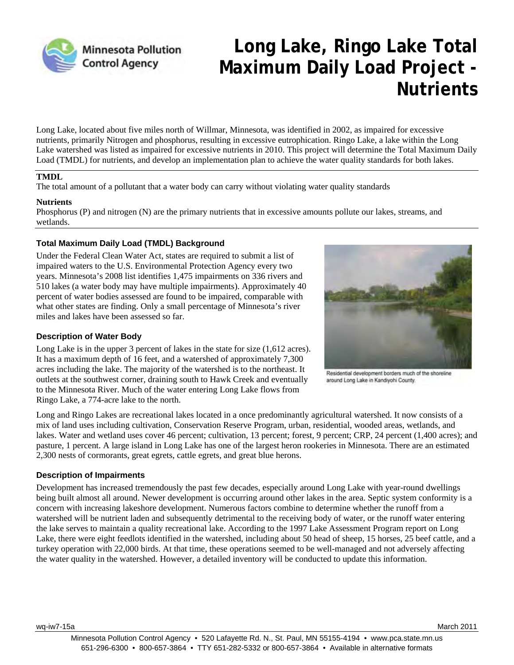

# **Long Lake, Ringo Lake Total Maximum Daily Load Project - Nutrients**

Long Lake, located about five miles north of Willmar, Minnesota, was identified in 2002, as impaired for excessive nutrients, primarily Nitrogen and phosphorus, resulting in excessive eutrophication. Ringo Lake, a lake within the Long Lake watershed was listed as impaired for excessive nutrients in 2010. This project will determine the Total Maximum Daily Load (TMDL) for nutrients, and develop an implementation plan to achieve the water quality standards for both lakes.

#### **TMDL**

The total amount of a pollutant that a water body can carry without violating water quality standards

#### **Nutrients**

Phosphorus (P) and nitrogen (N) are the primary nutrients that in excessive amounts pollute our lakes, streams, and wetlands.

#### **Total Maximum Daily Load (TMDL) Background**

Under the Federal Clean Water Act, states are required to submit a list of impaired waters to the U.S. Environmental Protection Agency every two years. Minnesota's 2008 list identifies 1,475 impairments on 336 rivers and 510 lakes (a water body may have multiple impairments). Approximately 40 percent of water bodies assessed are found to be impaired, comparable with what other states are finding. Only a small percentage of Minnesota's river miles and lakes have been assessed so far.

## **Description of Water Body**

Long Lake is in the upper 3 percent of lakes in the state for size (1,612 acres). It has a maximum depth of 16 feet, and a watershed of approximately 7,300 acres including the lake. The majority of the watershed is to the northeast. It outlets at the southwest corner, draining south to Hawk Creek and eventually to the Minnesota River. Much of the water entering Long Lake flows from Ringo Lake, a 774-acre lake to the north.



Residential development borders much of the shoreline around Long Lake in Kandiyohi County.

Long and Ringo Lakes are recreational lakes located in a once predominantly agricultural watershed. It now consists of a mix of land uses including cultivation, Conservation Reserve Program, urban, residential, wooded areas, wetlands, and lakes. Water and wetland uses cover 46 percent; cultivation, 13 percent; forest, 9 percent; CRP, 24 percent (1,400 acres); and pasture, 1 percent. A large island in Long Lake has one of the largest heron rookeries in Minnesota. There are an estimated 2,300 nests of cormorants, great egrets, cattle egrets, and great blue herons.

#### **Description of Impairments**

Development has increased tremendously the past few decades, especially around Long Lake with year-round dwellings being built almost all around. Newer development is occurring around other lakes in the area. Septic system conformity is a concern with increasing lakeshore development. Numerous factors combine to determine whether the runoff from a watershed will be nutrient laden and subsequently detrimental to the receiving body of water, or the runoff water entering the lake serves to maintain a quality recreational lake. According to the 1997 Lake Assessment Program report on Long Lake, there were eight feedlots identified in the watershed, including about 50 head of sheep, 15 horses, 25 beef cattle, and a turkey operation with 22,000 birds. At that time, these operations seemed to be well-managed and not adversely affecting the water quality in the watershed. However, a detailed inventory will be conducted to update this information.

wq-iw7-15a March 2011